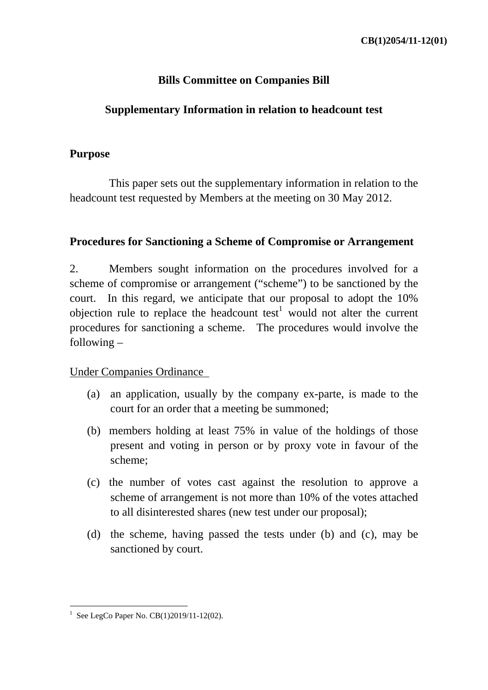## **Bills Committee on Companies Bill**

#### **Supplementary Information in relation to headcount test**

#### **Purpose**

 This paper sets out the supplementary information in relation to the headcount test requested by Members at the meeting on 30 May 2012.

#### **Procedures for Sanctioning a Scheme of Compromise or Arrangement**

2. Members sought information on the procedures involved for a scheme of compromise or arrangement ("scheme") to be sanctioned by the court. In this regard, we anticipate that our proposal to adopt the 10% objection rule to replace the headcount test<sup>1</sup> would not alter the current procedures for sanctioning a scheme. The procedures would involve the following –

#### Under Companies Ordinance

- (a) an application, usually by the company ex-parte, is made to the court for an order that a meeting be summoned;
- (b) members holding at least 75% in value of the holdings of those present and voting in person or by proxy vote in favour of the scheme;
- (c) the number of votes cast against the resolution to approve a scheme of arrangement is not more than 10% of the votes attached to all disinterested shares (new test under our proposal);
- (d) the scheme, having passed the tests under (b) and (c), may be sanctioned by court.

<sup>&</sup>lt;u>.</u> <sup>1</sup> See LegCo Paper No. CB(1)2019/11-12(02).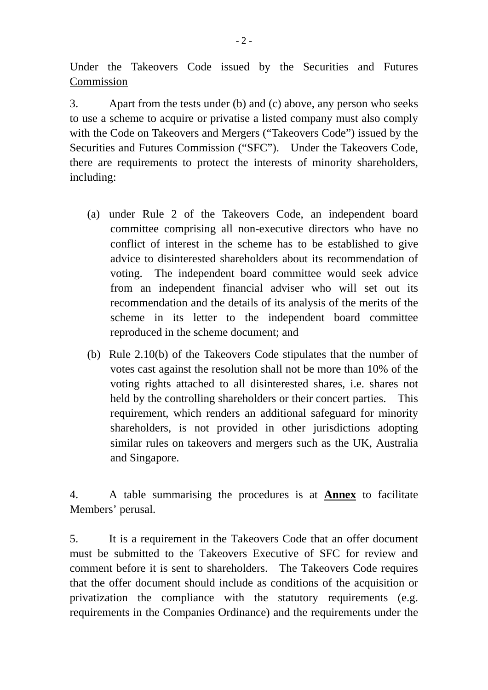Under the Takeovers Code issued by the Securities and Futures Commission

3. Apart from the tests under (b) and (c) above, any person who seeks to use a scheme to acquire or privatise a listed company must also comply with the Code on Takeovers and Mergers ("Takeovers Code") issued by the Securities and Futures Commission ("SFC"). Under the Takeovers Code, there are requirements to protect the interests of minority shareholders, including:

- (a) under Rule 2 of the Takeovers Code, an independent board committee comprising all non-executive directors who have no conflict of interest in the scheme has to be established to give advice to disinterested shareholders about its recommendation of voting. The independent board committee would seek advice from an independent financial adviser who will set out its recommendation and the details of its analysis of the merits of the scheme in its letter to the independent board committee reproduced in the scheme document; and
- (b) Rule 2.10(b) of the Takeovers Code stipulates that the number of votes cast against the resolution shall not be more than 10% of the voting rights attached to all disinterested shares, i.e. shares not held by the controlling shareholders or their concert parties. This requirement, which renders an additional safeguard for minority shareholders, is not provided in other jurisdictions adopting similar rules on takeovers and mergers such as the UK, Australia and Singapore.

4. A table summarising the procedures is at **Annex** to facilitate Members' perusal.

5. It is a requirement in the Takeovers Code that an offer document must be submitted to the Takeovers Executive of SFC for review and comment before it is sent to shareholders. The Takeovers Code requires that the offer document should include as conditions of the acquisition or privatization the compliance with the statutory requirements (e.g. requirements in the Companies Ordinance) and the requirements under the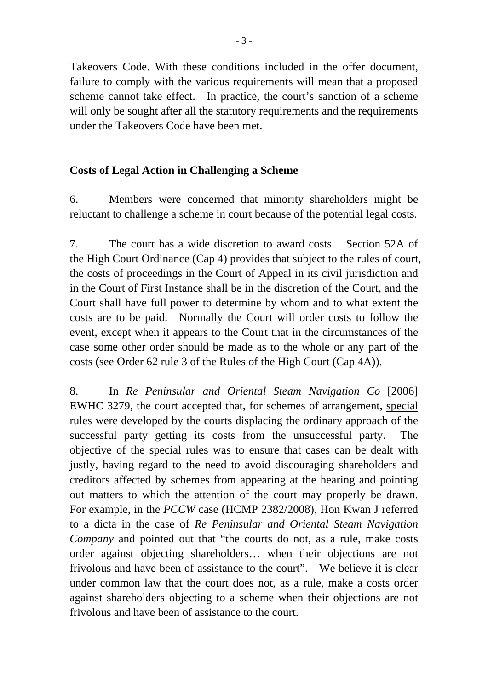Takeovers Code. With these conditions included in the offer document, failure to comply with the various requirements will mean that a proposed scheme cannot take effect. In practice, the court's sanction of a scheme will only be sought after all the statutory requirements and the requirements under the Takeovers Code have been met.

## **Costs of Legal Action in Challenging a Scheme**

6. Members were concerned that minority shareholders might be reluctant to challenge a scheme in court because of the potential legal costs.

7. The court has a wide discretion to award costs. Section 52A of the High Court Ordinance (Cap 4) provides that subject to the rules of court, the costs of proceedings in the Court of Appeal in its civil jurisdiction and in the Court of First Instance shall be in the discretion of the Court, and the Court shall have full power to determine by whom and to what extent the costs are to be paid. Normally the Court will order costs to follow the event, except when it appears to the Court that in the circumstances of the case some other order should be made as to the whole or any part of the costs (see Order 62 rule 3 of the Rules of the High Court (Cap 4A)).

8. In *Re Peninsular and Oriental Steam Navigation Co* [2006] EWHC 3279, the court accepted that, for schemes of arrangement, special rules were developed by the courts displacing the ordinary approach of the successful party getting its costs from the unsuccessful party. The objective of the special rules was to ensure that cases can be dealt with justly, having regard to the need to avoid discouraging shareholders and creditors affected by schemes from appearing at the hearing and pointing out matters to which the attention of the court may properly be drawn. For example, in the *PCCW* case (HCMP 2382/2008), Hon Kwan J referred to a dicta in the case of *Re Peninsular and Oriental Steam Navigation Company* and pointed out that "the courts do not, as a rule, make costs order against objecting shareholders… when their objections are not frivolous and have been of assistance to the court". We believe it is clear under common law that the court does not, as a rule, make a costs order against shareholders objecting to a scheme when their objections are not frivolous and have been of assistance to the court.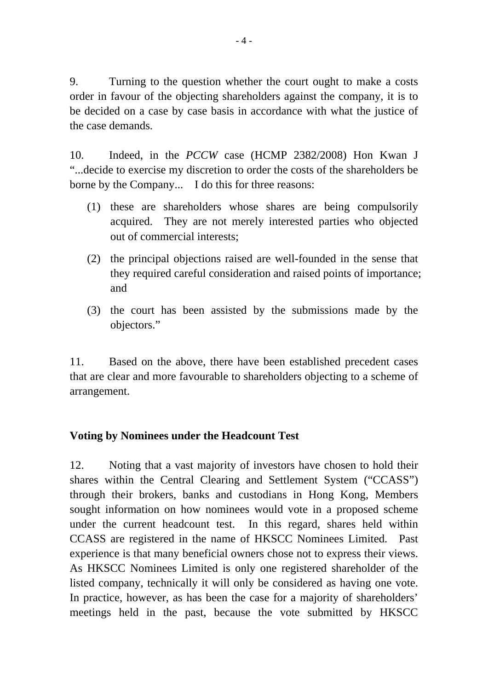9. Turning to the question whether the court ought to make a costs order in favour of the objecting shareholders against the company, it is to be decided on a case by case basis in accordance with what the justice of the case demands.

10. Indeed, in the *PCCW* case (HCMP 2382/2008) Hon Kwan J "...decide to exercise my discretion to order the costs of the shareholders be borne by the Company... I do this for three reasons:

- (1) these are shareholders whose shares are being compulsorily acquired. They are not merely interested parties who objected out of commercial interests;
- (2) the principal objections raised are well-founded in the sense that they required careful consideration and raised points of importance; and
- (3) the court has been assisted by the submissions made by the objectors."

11. Based on the above, there have been established precedent cases that are clear and more favourable to shareholders objecting to a scheme of arrangement.

#### **Voting by Nominees under the Headcount Test**

12. Noting that a vast majority of investors have chosen to hold their shares within the Central Clearing and Settlement System ("CCASS") through their brokers, banks and custodians in Hong Kong, Members sought information on how nominees would vote in a proposed scheme under the current headcount test. In this regard, shares held within CCASS are registered in the name of HKSCC Nominees Limited. Past experience is that many beneficial owners chose not to express their views. As HKSCC Nominees Limited is only one registered shareholder of the listed company, technically it will only be considered as having one vote. In practice, however, as has been the case for a majority of shareholders' meetings held in the past, because the vote submitted by HKSCC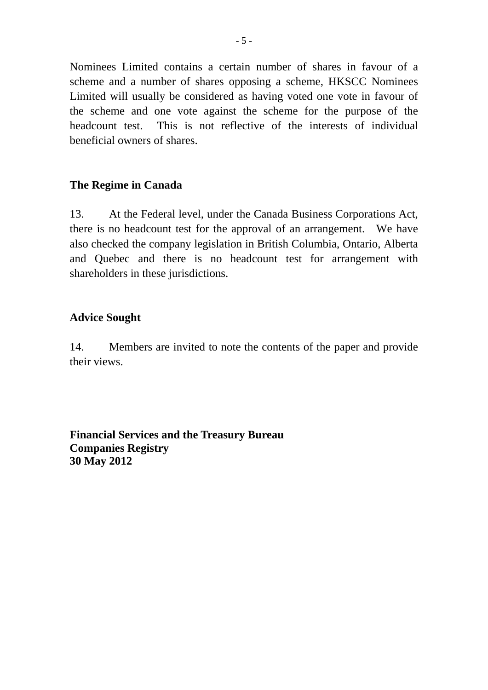Nominees Limited contains a certain number of shares in favour of a scheme and a number of shares opposing a scheme, HKSCC Nominees Limited will usually be considered as having voted one vote in favour of the scheme and one vote against the scheme for the purpose of the headcount test. This is not reflective of the interests of individual beneficial owners of shares.

## **The Regime in Canada**

13. At the Federal level, under the Canada Business Corporations Act, there is no headcount test for the approval of an arrangement. We have also checked the company legislation in British Columbia, Ontario, Alberta and Quebec and there is no headcount test for arrangement with shareholders in these jurisdictions.

## **Advice Sought**

14. Members are invited to note the contents of the paper and provide their views.

**Financial Services and the Treasury Bureau Companies Registry 30 May 2012**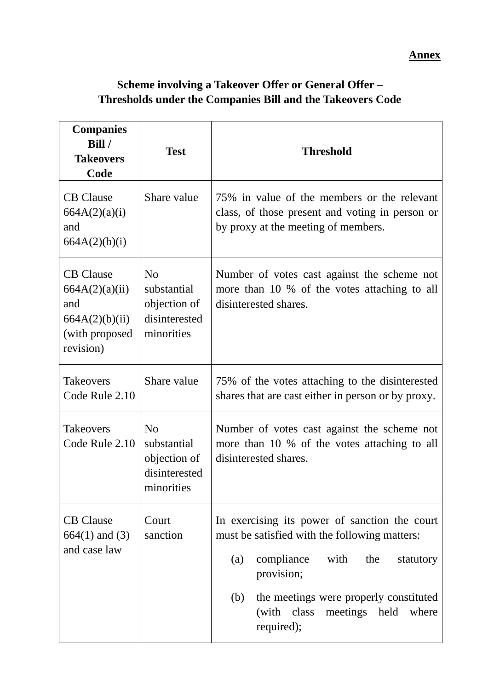**Annex**

# **Scheme involving a Takeover Offer or General Offer – Thresholds under the Companies Bill and the Takeovers Code**

| <b>Companies</b><br>Bill /<br><b>Takeovers</b><br>Code                                     | <b>Test</b>                                                                  | <b>Threshold</b>                                                                                                                                                                                                                                                |  |
|--------------------------------------------------------------------------------------------|------------------------------------------------------------------------------|-----------------------------------------------------------------------------------------------------------------------------------------------------------------------------------------------------------------------------------------------------------------|--|
| <b>CB</b> Clause<br>664A(2)(a)(i)<br>and<br>664A(2)(b)(i)                                  | Share value                                                                  | 75% in value of the members or the relevant<br>class, of those present and voting in person or<br>by proxy at the meeting of members.                                                                                                                           |  |
| <b>CB</b> Clause<br>664A(2)(a)(ii)<br>and<br>664A(2)(b)(ii)<br>(with proposed<br>revision) | N <sub>o</sub><br>substantial<br>objection of<br>disinterested<br>minorities | Number of votes cast against the scheme not<br>more than 10 % of the votes attaching to all<br>disinterested shares.                                                                                                                                            |  |
| <b>Takeovers</b><br>Code Rule 2.10                                                         | Share value                                                                  | 75% of the votes attaching to the disinterested<br>shares that are cast either in person or by proxy.                                                                                                                                                           |  |
| <b>Takeovers</b><br>Code Rule 2.10                                                         | N <sub>o</sub><br>substantial<br>objection of<br>disinterested<br>minorities | Number of votes cast against the scheme not<br>more than 10 % of the votes attaching to all<br>disinterested shares.                                                                                                                                            |  |
| <b>CB</b> Clause<br>$664(1)$ and $(3)$<br>and case law                                     | Court<br>sanction                                                            | In exercising its power of sanction the court<br>must be satisfied with the following matters:<br>compliance with the<br>(a)<br>statutory<br>provision;<br>(b)<br>the meetings were properly constituted<br>(with class<br>meetings held<br>where<br>required); |  |